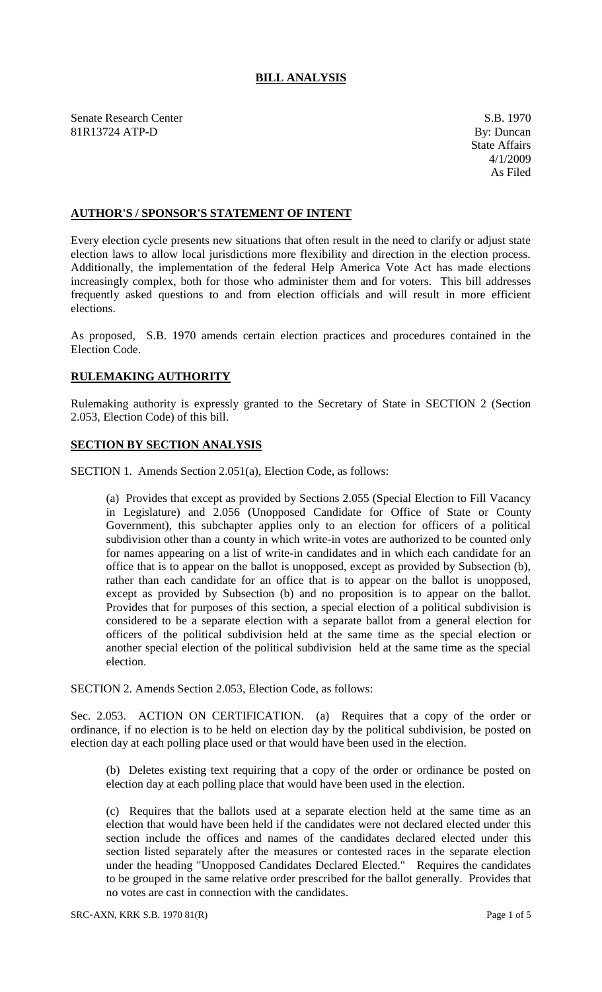# **BILL ANALYSIS**

Senate Research Center S.B. 1970 81R13724 ATP-D By: Duncan

## **AUTHOR'S / SPONSOR'S STATEMENT OF INTENT**

Every election cycle presents new situations that often result in the need to clarify or adjust state election laws to allow local jurisdictions more flexibility and direction in the election process. Additionally, the implementation of the federal Help America Vote Act has made elections increasingly complex, both for those who administer them and for voters. This bill addresses frequently asked questions to and from election officials and will result in more efficient elections.

As proposed, S.B. 1970 amends certain election practices and procedures contained in the Election Code.

## **RULEMAKING AUTHORITY**

Rulemaking authority is expressly granted to the Secretary of State in SECTION 2 (Section 2.053, Election Code) of this bill.

## **SECTION BY SECTION ANALYSIS**

SECTION 1. Amends Section 2.051(a), Election Code, as follows:

(a) Provides that except as provided by Sections 2.055 (Special Election to Fill Vacancy in Legislature) and 2.056 (Unopposed Candidate for Office of State or County Government), this subchapter applies only to an election for officers of a political subdivision other than a county in which write-in votes are authorized to be counted only for names appearing on a list of write-in candidates and in which each candidate for an office that is to appear on the ballot is unopposed, except as provided by Subsection (b), rather than each candidate for an office that is to appear on the ballot is unopposed, except as provided by Subsection (b) and no proposition is to appear on the ballot. Provides that for purposes of this section, a special election of a political subdivision is considered to be a separate election with a separate ballot from a general election for officers of the political subdivision held at the same time as the special election or another special election of the political subdivision held at the same time as the special election.

SECTION 2. Amends Section 2.053, Election Code, as follows:

Sec. 2.053. ACTION ON CERTIFICATION. (a) Requires that a copy of the order or ordinance, if no election is to be held on election day by the political subdivision, be posted on election day at each polling place used or that would have been used in the election.

(b) Deletes existing text requiring that a copy of the order or ordinance be posted on election day at each polling place that would have been used in the election.

(c) Requires that the ballots used at a separate election held at the same time as an election that would have been held if the candidates were not declared elected under this section include the offices and names of the candidates declared elected under this section listed separately after the measures or contested races in the separate election under the heading "Unopposed Candidates Declared Elected." Requires the candidates to be grouped in the same relative order prescribed for the ballot generally. Provides that no votes are cast in connection with the candidates.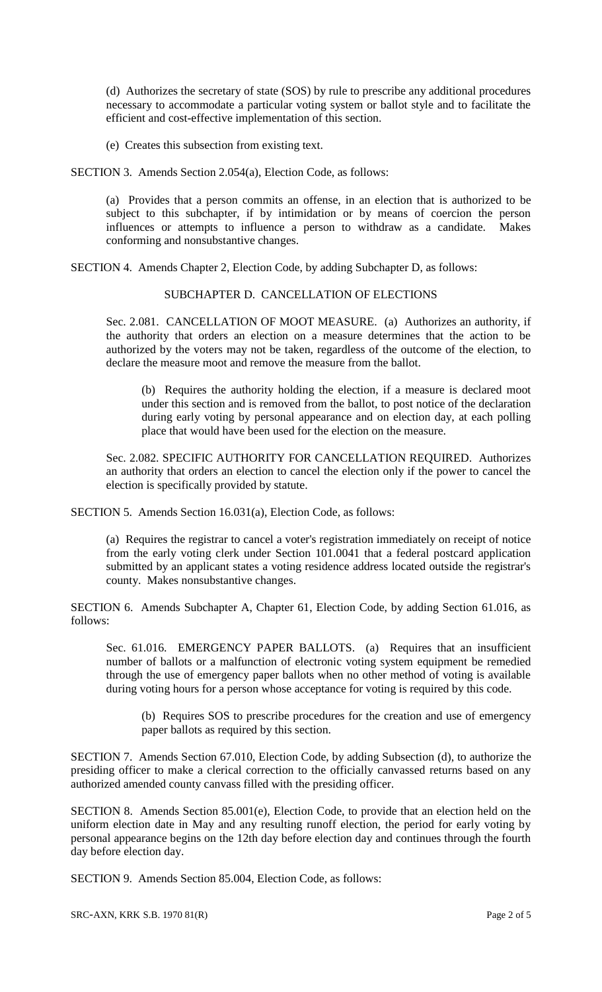(d) Authorizes the secretary of state (SOS) by rule to prescribe any additional procedures necessary to accommodate a particular voting system or ballot style and to facilitate the efficient and cost-effective implementation of this section.

(e) Creates this subsection from existing text.

SECTION 3. Amends Section 2.054(a), Election Code, as follows:

(a) Provides that a person commits an offense, in an election that is authorized to be subject to this subchapter, if by intimidation or by means of coercion the person influences or attempts to influence a person to withdraw as a candidate. Makes conforming and nonsubstantive changes.

SECTION 4. Amends Chapter 2, Election Code, by adding Subchapter D, as follows:

#### SUBCHAPTER D. CANCELLATION OF ELECTIONS

Sec. 2.081. CANCELLATION OF MOOT MEASURE. (a) Authorizes an authority, if the authority that orders an election on a measure determines that the action to be authorized by the voters may not be taken, regardless of the outcome of the election, to declare the measure moot and remove the measure from the ballot.

(b) Requires the authority holding the election, if a measure is declared moot under this section and is removed from the ballot, to post notice of the declaration during early voting by personal appearance and on election day, at each polling place that would have been used for the election on the measure.

Sec. 2.082. SPECIFIC AUTHORITY FOR CANCELLATION REQUIRED. Authorizes an authority that orders an election to cancel the election only if the power to cancel the election is specifically provided by statute.

SECTION 5. Amends Section 16.031(a), Election Code, as follows:

(a) Requires the registrar to cancel a voter's registration immediately on receipt of notice from the early voting clerk under Section 101.0041 that a federal postcard application submitted by an applicant states a voting residence address located outside the registrar's county. Makes nonsubstantive changes.

SECTION 6. Amends Subchapter A, Chapter 61, Election Code, by adding Section 61.016, as follows:

Sec. 61.016. EMERGENCY PAPER BALLOTS. (a) Requires that an insufficient number of ballots or a malfunction of electronic voting system equipment be remedied through the use of emergency paper ballots when no other method of voting is available during voting hours for a person whose acceptance for voting is required by this code.

(b) Requires SOS to prescribe procedures for the creation and use of emergency paper ballots as required by this section.

SECTION 7. Amends Section 67.010, Election Code, by adding Subsection (d), to authorize the presiding officer to make a clerical correction to the officially canvassed returns based on any authorized amended county canvass filled with the presiding officer.

SECTION 8. Amends Section 85.001(e), Election Code, to provide that an election held on the uniform election date in May and any resulting runoff election, the period for early voting by personal appearance begins on the 12th day before election day and continues through the fourth day before election day.

SECTION 9. Amends Section 85.004, Election Code, as follows: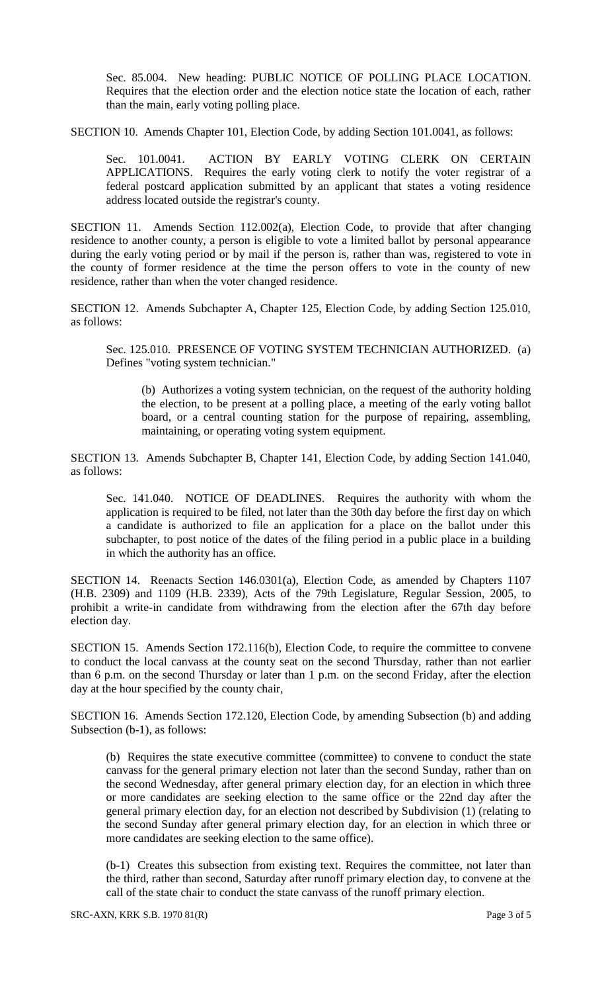Sec. 85.004. New heading: PUBLIC NOTICE OF POLLING PLACE LOCATION. Requires that the election order and the election notice state the location of each, rather than the main, early voting polling place.

SECTION 10. Amends Chapter 101, Election Code, by adding Section 101.0041, as follows:

Sec. 101.0041. ACTION BY EARLY VOTING CLERK ON CERTAIN APPLICATIONS. Requires the early voting clerk to notify the voter registrar of a federal postcard application submitted by an applicant that states a voting residence address located outside the registrar's county.

SECTION 11. Amends Section 112.002(a), Election Code, to provide that after changing residence to another county, a person is eligible to vote a limited ballot by personal appearance during the early voting period or by mail if the person is, rather than was, registered to vote in the county of former residence at the time the person offers to vote in the county of new residence, rather than when the voter changed residence.

SECTION 12. Amends Subchapter A, Chapter 125, Election Code, by adding Section 125.010, as follows:

Sec. 125.010. PRESENCE OF VOTING SYSTEM TECHNICIAN AUTHORIZED. (a) Defines "voting system technician."

(b) Authorizes a voting system technician, on the request of the authority holding the election, to be present at a polling place, a meeting of the early voting ballot board, or a central counting station for the purpose of repairing, assembling, maintaining, or operating voting system equipment.

SECTION 13. Amends Subchapter B, Chapter 141, Election Code, by adding Section 141.040, as follows:

Sec. 141.040. NOTICE OF DEADLINES. Requires the authority with whom the application is required to be filed, not later than the 30th day before the first day on which a candidate is authorized to file an application for a place on the ballot under this subchapter, to post notice of the dates of the filing period in a public place in a building in which the authority has an office.

SECTION 14. Reenacts Section 146.0301(a), Election Code, as amended by Chapters 1107 (H.B. 2309) and 1109 (H.B. 2339), Acts of the 79th Legislature, Regular Session, 2005, to prohibit a write-in candidate from withdrawing from the election after the 67th day before election day.

SECTION 15. Amends Section 172.116(b), Election Code, to require the committee to convene to conduct the local canvass at the county seat on the second Thursday, rather than not earlier than 6 p.m. on the second Thursday or later than 1 p.m. on the second Friday, after the election day at the hour specified by the county chair,

SECTION 16. Amends Section 172.120, Election Code, by amending Subsection (b) and adding Subsection (b-1), as follows:

(b) Requires the state executive committee (committee) to convene to conduct the state canvass for the general primary election not later than the second Sunday, rather than on the second Wednesday, after general primary election day, for an election in which three or more candidates are seeking election to the same office or the 22nd day after the general primary election day, for an election not described by Subdivision (1) (relating to the second Sunday after general primary election day, for an election in which three or more candidates are seeking election to the same office).

(b-1) Creates this subsection from existing text. Requires the committee, not later than the third, rather than second, Saturday after runoff primary election day, to convene at the call of the state chair to conduct the state canvass of the runoff primary election.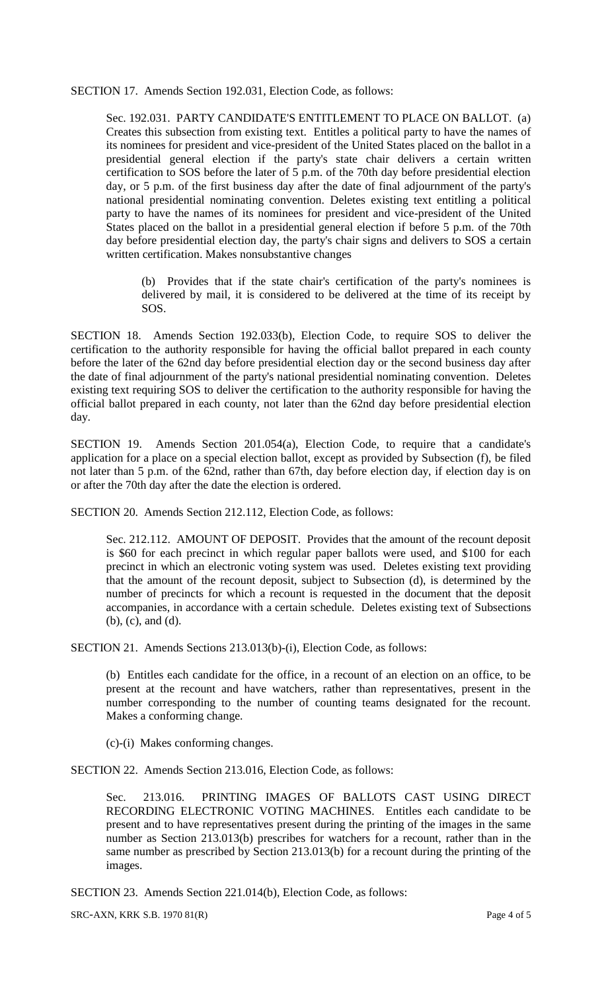#### SECTION 17. Amends Section 192.031, Election Code, as follows:

Sec. 192.031. PARTY CANDIDATE'S ENTITLEMENT TO PLACE ON BALLOT. (a) Creates this subsection from existing text. Entitles a political party to have the names of its nominees for president and vice-president of the United States placed on the ballot in a presidential general election if the party's state chair delivers a certain written certification to SOS before the later of 5 p.m. of the 70th day before presidential election day, or 5 p.m. of the first business day after the date of final adjournment of the party's national presidential nominating convention. Deletes existing text entitling a political party to have the names of its nominees for president and vice-president of the United States placed on the ballot in a presidential general election if before 5 p.m. of the 70th day before presidential election day, the party's chair signs and delivers to SOS a certain written certification. Makes nonsubstantive changes

(b) Provides that if the state chair's certification of the party's nominees is delivered by mail, it is considered to be delivered at the time of its receipt by SOS.

SECTION 18. Amends Section 192.033(b), Election Code, to require SOS to deliver the certification to the authority responsible for having the official ballot prepared in each county before the later of the 62nd day before presidential election day or the second business day after the date of final adjournment of the party's national presidential nominating convention. Deletes existing text requiring SOS to deliver the certification to the authority responsible for having the official ballot prepared in each county, not later than the 62nd day before presidential election day.

SECTION 19. Amends Section 201.054(a), Election Code, to require that a candidate's application for a place on a special election ballot, except as provided by Subsection (f), be filed not later than 5 p.m. of the 62nd, rather than 67th, day before election day, if election day is on or after the 70th day after the date the election is ordered.

SECTION 20. Amends Section 212.112, Election Code, as follows:

Sec. 212.112. AMOUNT OF DEPOSIT. Provides that the amount of the recount deposit is \$60 for each precinct in which regular paper ballots were used, and \$100 for each precinct in which an electronic voting system was used. Deletes existing text providing that the amount of the recount deposit, subject to Subsection (d), is determined by the number of precincts for which a recount is requested in the document that the deposit accompanies, in accordance with a certain schedule. Deletes existing text of Subsections (b), (c), and (d).

SECTION 21. Amends Sections 213.013(b)-(i), Election Code, as follows:

(b) Entitles each candidate for the office, in a recount of an election on an office, to be present at the recount and have watchers, rather than representatives, present in the number corresponding to the number of counting teams designated for the recount. Makes a conforming change.

(c)-(i) Makes conforming changes.

SECTION 22. Amends Section 213.016, Election Code, as follows:

Sec. 213.016. PRINTING IMAGES OF BALLOTS CAST USING DIRECT RECORDING ELECTRONIC VOTING MACHINES. Entitles each candidate to be present and to have representatives present during the printing of the images in the same number as Section 213.013(b) prescribes for watchers for a recount, rather than in the same number as prescribed by Section 213.013(b) for a recount during the printing of the images.

SECTION 23. Amends Section 221.014(b), Election Code, as follows:

SRC-AXN, KRK S.B. 1970 81(R) Page 4 of 5